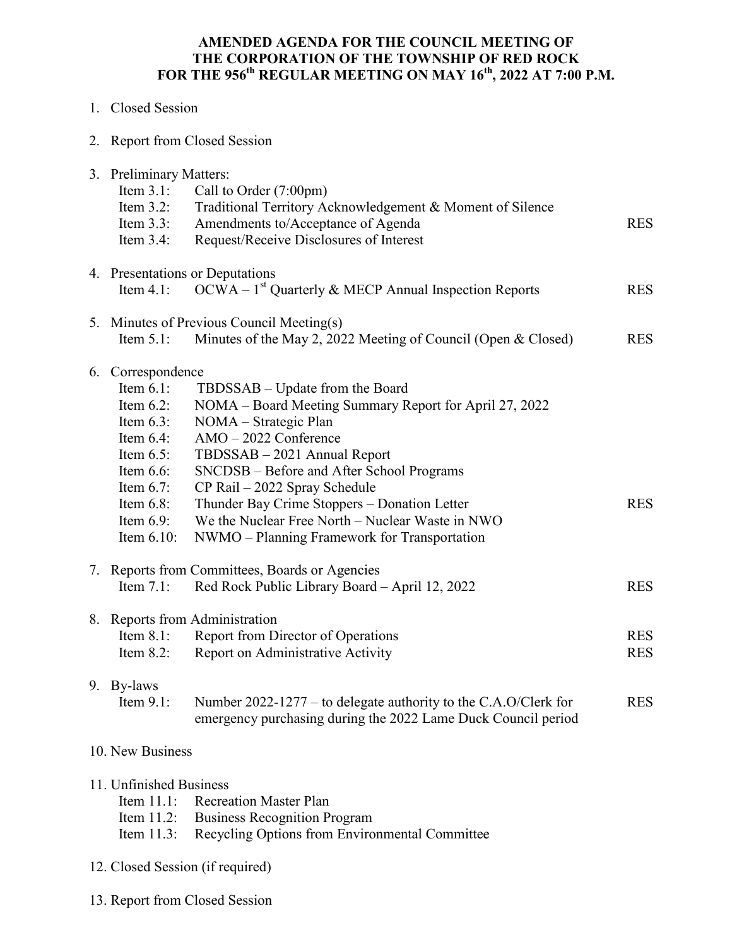## **AMENDED AGENDA FOR THE COUNCIL MEETING OF THE CORPORATION OF THE TOWNSHIP OF RED ROCK FOR THE 956th REGULAR MEETING ON MAY 16th, 2022 AT 7:00 P.M.**

| 1. Closed Session |  |
|-------------------|--|
|                   |  |

2. Report from Closed Session

|  | 3. Preliminary Matters:                        |                                                                 |            |  |
|--|------------------------------------------------|-----------------------------------------------------------------|------------|--|
|  | Item $3.1$ :                                   | Call to Order (7:00pm)                                          |            |  |
|  | Item $3.2$ :                                   | Traditional Territory Acknowledgement & Moment of Silence       |            |  |
|  | Item $3.3$ :                                   | Amendments to/Acceptance of Agenda                              | <b>RES</b> |  |
|  | Item $3.4$ :                                   | Request/Receive Disclosures of Interest                         |            |  |
|  |                                                | 4. Presentations or Deputations                                 |            |  |
|  | Item $4.1$ :                                   | $OCWA - 1st$ Quarterly & MECP Annual Inspection Reports         | <b>RES</b> |  |
|  | 5. Minutes of Previous Council Meeting(s)      |                                                                 |            |  |
|  | Item $5.1$ :                                   | Minutes of the May 2, 2022 Meeting of Council (Open & Closed)   | <b>RES</b> |  |
|  | 6. Correspondence                              |                                                                 |            |  |
|  | Item $6.1$ :                                   | TBDSSAB – Update from the Board                                 |            |  |
|  | Item $6.2$ :                                   | NOMA – Board Meeting Summary Report for April 27, 2022          |            |  |
|  | Item $6.3$ :                                   | NOMA – Strategic Plan                                           |            |  |
|  | Item $6.4$ :                                   | AMO-2022 Conference                                             |            |  |
|  | Item $6.5$ :                                   | TBDSSAB - 2021 Annual Report                                    |            |  |
|  | Item $6.6$ :                                   | SNCDSB - Before and After School Programs                       |            |  |
|  | Item $6.7$ :                                   | CP Rail - 2022 Spray Schedule                                   |            |  |
|  | Item $6.8$ :                                   | Thunder Bay Crime Stoppers - Donation Letter                    | <b>RES</b> |  |
|  | Item $6.9$ :                                   | We the Nuclear Free North - Nuclear Waste in NWO                |            |  |
|  | Item $6.10$ :                                  | NWMO - Planning Framework for Transportation                    |            |  |
|  | 7. Reports from Committees, Boards or Agencies |                                                                 |            |  |
|  | Item $7.1$ :                                   | Red Rock Public Library Board - April 12, 2022                  | <b>RES</b> |  |
|  |                                                | 8. Reports from Administration                                  |            |  |
|  | Item $8.1$ :                                   | <b>Report from Director of Operations</b>                       | <b>RES</b> |  |
|  | Item $8.2$ :                                   | Report on Administrative Activity                               | <b>RES</b> |  |
|  | 9. By-laws                                     |                                                                 |            |  |
|  | Item $9.1$ :                                   | Number 2022-1277 – to delegate authority to the C.A.O/Clerk for | <b>RES</b> |  |
|  |                                                | emergency purchasing during the 2022 Lame Duck Council period   |            |  |
|  | 10. New Business                               |                                                                 |            |  |
|  | 11. Unfinished Business                        |                                                                 |            |  |
|  | Item $11.1$ :                                  | <b>Recreation Master Plan</b>                                   |            |  |
|  | Item $11.2$ :                                  | <b>Business Recognition Program</b>                             |            |  |

- Item 11.3: Recycling Options from Environmental Committee
- 12. Closed Session (if required)
- 13. Report from Closed Session